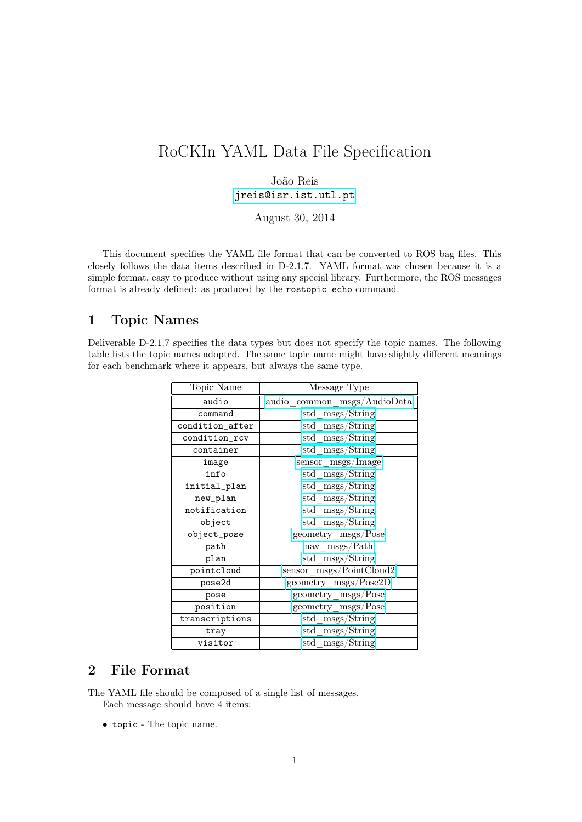# RoCKIn YAML Data File Specification

### João Reis [jreis@isr.ist.utl.pt](mailto:jreis@isr.ist.utl.pt)

August 30, 2014

This document specifies the YAML file format that can be converted to ROS bag files. This closely follows the data items described in D-2.1.7. YAML format was chosen because it is a simple format, easy to produce without using any special library. Furthermore, the ROS messages format is already defined: as produced by the rostopic echo command.

# 1 Topic Names

Deliverable D-2.1.7 specifies the data types but does not specify the topic names. The following table lists the topic names adopted. The same topic name might have slightly different meanings for each benchmark where it appears, but always the same type.

| Topic Name      | Message Type                      |
|-----------------|-----------------------------------|
| audio           | audio common msgs/AudioData       |
| command         | std msgs/String                   |
| condition_after | std msgs/String                   |
| condition_rcv   | std msgs/String                   |
| container       | std msgs/String                   |
| image           | ${\rm sensor\_{msgs}/Image}$      |
| info            | std msgs/String                   |
| initial_plan    | std msgs/String                   |
| new_plan        | std msgs/String                   |
| notification    | std msgs/String                   |
| object          | std msgs/String                   |
| object_pose     | $geometry_{\rm mass}/\text{Pose}$ |
| path            | nav msgs/Path                     |
| plan            | std msgs/String                   |
| pointcloud      | sensor msgs/PointCloud2           |
| pose2d          | $geometry_{\text{}}$ msgs/Pose2D  |
| pose            | geometry msgs/Pose                |
| position        | geometry msgs/Pose                |
| transcriptions  | std msgs/String                   |
| tray            | std msgs/String                   |
| visitor         | std msgs/String                   |

## 2 File Format

The YAML file should be composed of a single list of messages. Each message should have 4 items:

• topic - The topic name.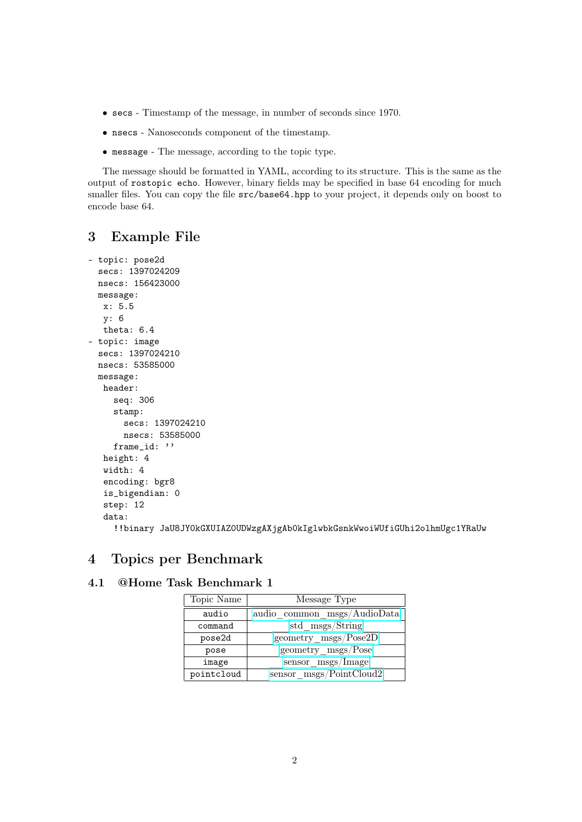- secs Timestamp of the message, in number of seconds since 1970.
- nsecs Nanoseconds component of the timestamp.
- message The message, according to the topic type.

The message should be formatted in YAML, according to its structure. This is the same as the output of rostopic echo. However, binary fields may be specified in base 64 encoding for much smaller files. You can copy the file src/base64.hpp to your project, it depends only on boost to encode base 64.

### 3 Example File

```
- topic: pose2d
 secs: 1397024209
 nsecs: 156423000
 message:
  x: 5.5
  y: 6
  theta: 6.4
- topic: image
 secs: 1397024210
 nsecs: 53585000
 message:
  header:
    seq: 306
    stamp:
      secs: 1397024210
      nsecs: 53585000
    frame id: ''
  height: 4
  width: 4
  encoding: bgr8
  is_bigendian: 0
  step: 12
  data:
     !!binary JaU8JY0kGXUIAZ0UDWzgAXjgAb0kIglwbkGsnkWwoiWUfiGUhi2olhmUgc1YRaUw
```
# 4 Topics per Benchmark

## 4.1 @Home Task Benchmark 1

| Topic Name | Message Type                |
|------------|-----------------------------|
| audio      | audio common msgs/AudioData |
| command    | std msgs/String             |
| pose2d     | geometry msgs/Pose2D        |
| pose       | geometry msgs/Pose          |
| image      | sensor msgs/Image           |
| pointcloud | sensor msgs/PointCloud2     |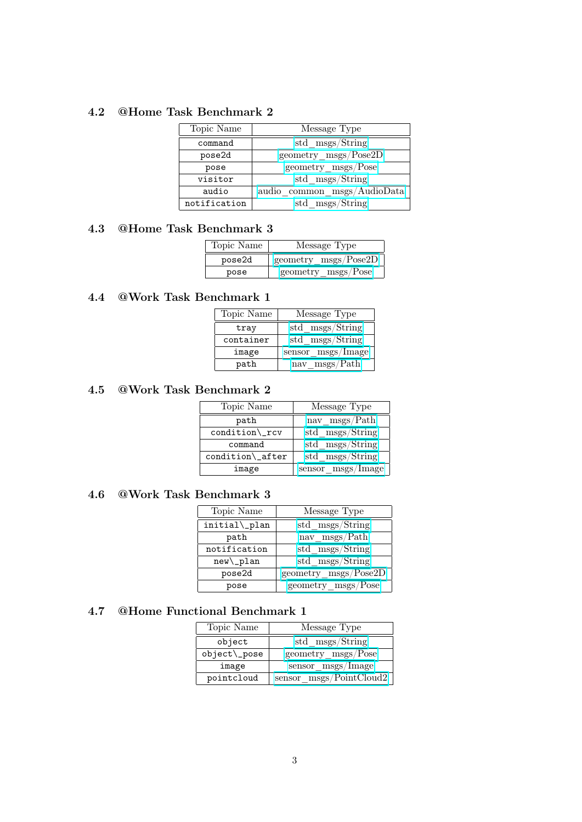#### 4.2 @Home Task Benchmark 2

| Topic Name   | Message Type                |
|--------------|-----------------------------|
| command      | std msgs/String             |
| pose2d       | geometry msgs/Pose2D        |
| pose         | geometry msgs/Pose          |
| visitor      | std msgs/String             |
| audio        | audio common msgs/AudioData |
| notification | std msgs/String             |

### 4.3 @Home Task Benchmark 3

| Topic Name | Message Type                           |
|------------|----------------------------------------|
| pose2d     | $geometry$ msgs/Pose2D                 |
| pose       | $geometry_{\rm}$ <sub>msgs</sub> /Pose |

# 4.4 @Work Task Benchmark 1

| Topic Name | Message Type      |
|------------|-------------------|
| tray       | std msgs/String   |
| container  | std msgs/String   |
| image      | sensor msgs/Image |
| path       | nav msgs/Path     |

#### 4.5 @Work Task Benchmark 2

| Topic Name                    | Message Type      |
|-------------------------------|-------------------|
| path                          | nav msgs/Path     |
| condition\_rcv                | std msgs/String   |
| command                       | std msgs/String   |
| $condition$ <sub>-after</sub> | std msgs/String   |
| image                         | sensor msgs/Image |

#### 4.6 @Work Task Benchmark 3

| Topic Name    | Message Type         |
|---------------|----------------------|
| initial\_plan | std msgs/String      |
| path          | nav msgs/Path        |
| notification  | std msgs/String      |
| $new\_{plan}$ | std msgs/String      |
| pose2d        | geometry msgs/Pose2D |
| pose          | geometry msgs/Pose   |

# 4.7 @Home Functional Benchmark 1

| Topic Name   | Message Type            |
|--------------|-------------------------|
| object       | std msgs/String         |
| object\_pose | geometry msgs/Pose      |
| image        | sensor msgs/Image       |
| pointcloud   | sensor_msgs/PointCloud2 |